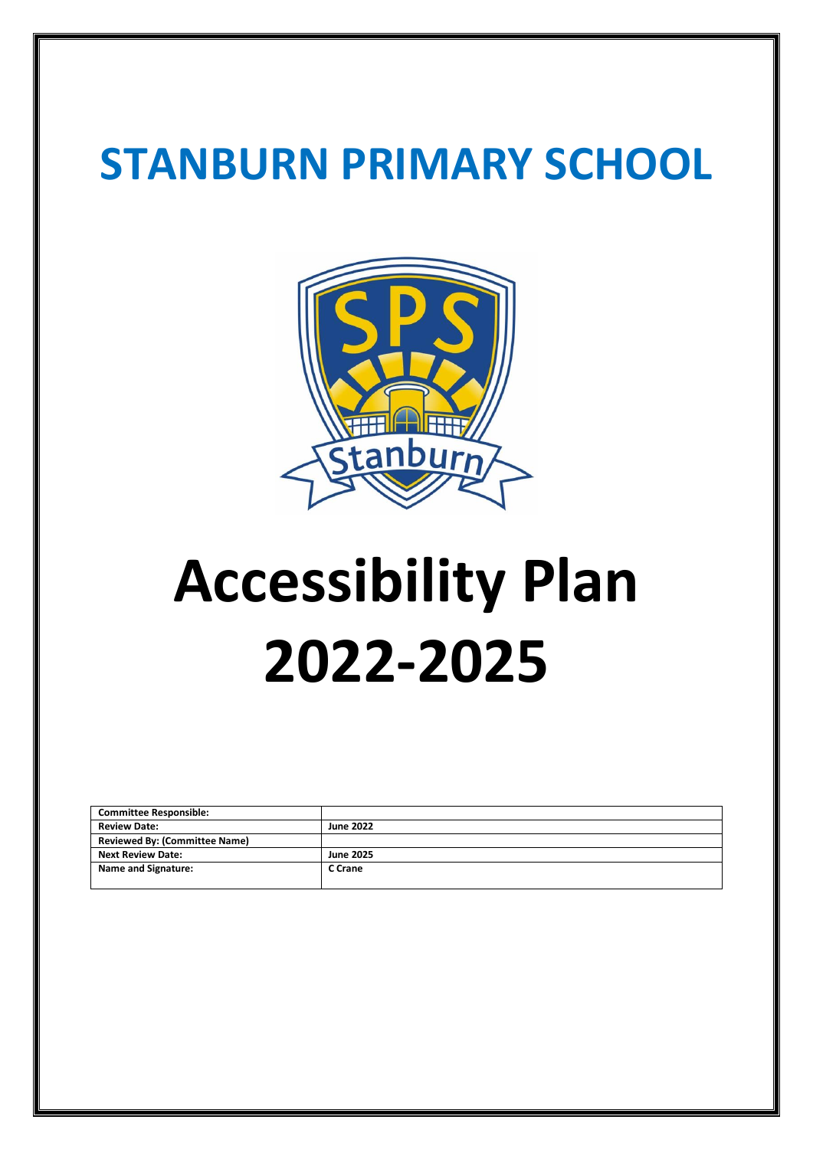# **STANBURN PRIMARY SCHOOL**



# **Accessibility Plan 2022-2025**

| <b>Committee Responsible:</b>        |                  |
|--------------------------------------|------------------|
| <b>Review Date:</b>                  | <b>June 2022</b> |
| <b>Reviewed By: (Committee Name)</b> |                  |
| <b>Next Review Date:</b>             | <b>June 2025</b> |
| Name and Signature:                  | C Crane          |
|                                      |                  |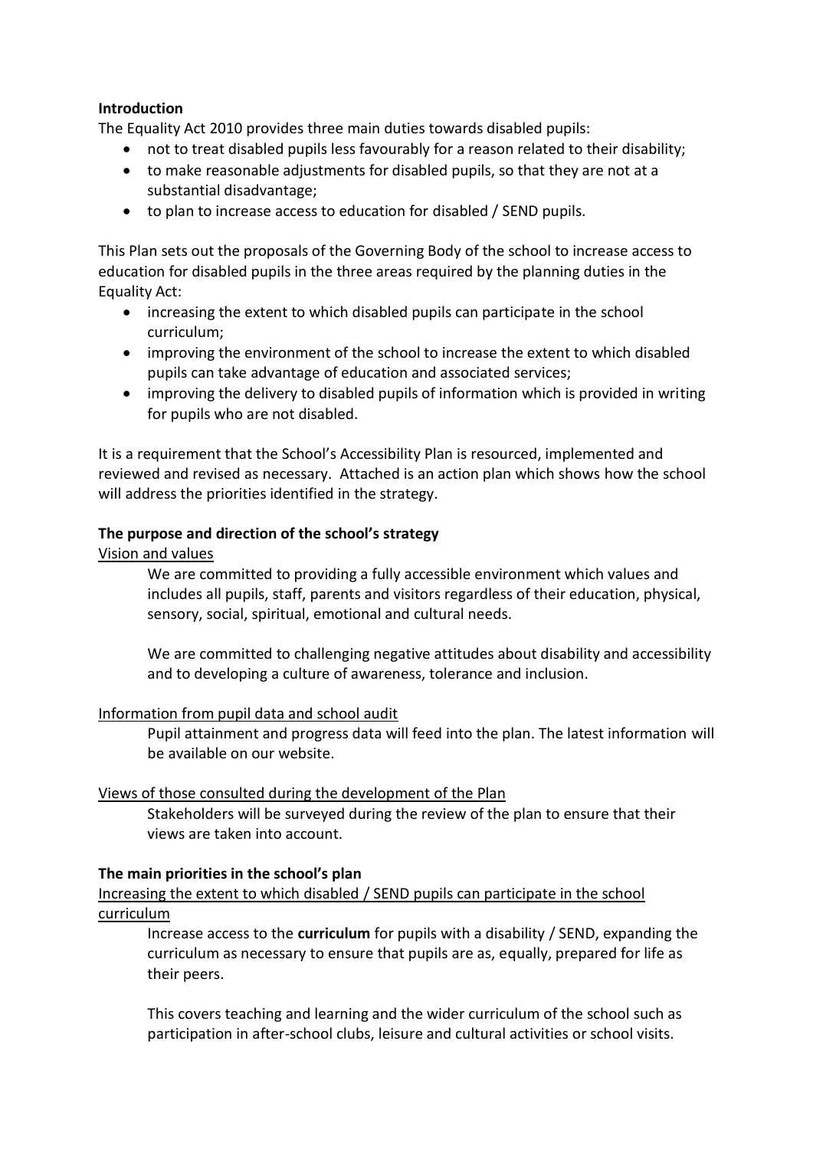## **Introduction**

The Equality Act 2010 provides three main duties towards disabled pupils:

- not to treat disabled pupils less favourably for a reason related to their disability;
- to make reasonable adjustments for disabled pupils, so that they are not at a substantial disadvantage;
- to plan to increase access to education for disabled / SEND pupils.

This Plan sets out the proposals of the Governing Body of the school to increase access to education for disabled pupils in the three areas required by the planning duties in the Equality Act:

- increasing the extent to which disabled pupils can participate in the school curriculum;
- improving the environment of the school to increase the extent to which disabled pupils can take advantage of education and associated services;
- improving the delivery to disabled pupils of information which is provided in writing for pupils who are not disabled.

It is a requirement that the School's Accessibility Plan is resourced, implemented and reviewed and revised as necessary. Attached is an action plan which shows how the school will address the priorities identified in the strategy.

## **The purpose and direction of the school's strategy**

Vision and values

We are committed to providing a fully accessible environment which values and includes all pupils, staff, parents and visitors regardless of their education, physical, sensory, social, spiritual, emotional and cultural needs.

We are committed to challenging negative attitudes about disability and accessibility and to developing a culture of awareness, tolerance and inclusion.

#### Information from pupil data and school audit

Pupil attainment and progress data will feed into the plan. The latest information will be available on our website.

#### Views of those consulted during the development of the Plan

Stakeholders will be surveyed during the review of the plan to ensure that their views are taken into account.

#### **The main priorities in the school's plan**

Increasing the extent to which disabled / SEND pupils can participate in the school curriculum

Increase access to the **curriculum** for pupils with a disability / SEND, expanding the curriculum as necessary to ensure that pupils are as, equally, prepared for life as their peers.

This covers teaching and learning and the wider curriculum of the school such as participation in after-school clubs, leisure and cultural activities or school visits.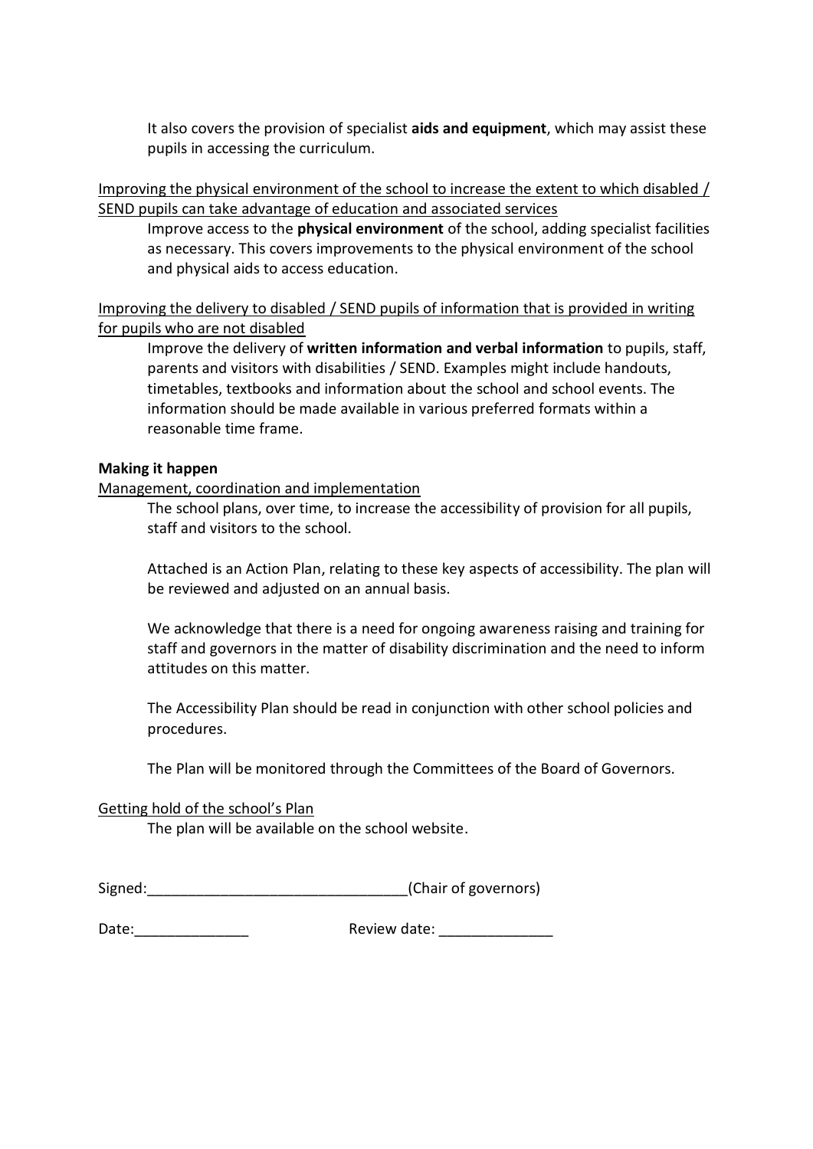It also covers the provision of specialist **aids and equipment**, which may assist these pupils in accessing the curriculum.

Improving the physical environment of the school to increase the extent to which disabled / SEND pupils can take advantage of education and associated services

Improve access to the **physical environment** of the school, adding specialist facilities as necessary. This covers improvements to the physical environment of the school and physical aids to access education.

Improving the delivery to disabled / SEND pupils of information that is provided in writing for pupils who are not disabled

Improve the delivery of **written information and verbal information** to pupils, staff, parents and visitors with disabilities / SEND. Examples might include handouts, timetables, textbooks and information about the school and school events. The information should be made available in various preferred formats within a reasonable time frame.

#### **Making it happen**

Management, coordination and implementation

The school plans, over time, to increase the accessibility of provision for all pupils, staff and visitors to the school.

Attached is an Action Plan, relating to these key aspects of accessibility. The plan will be reviewed and adjusted on an annual basis.

We acknowledge that there is a need for ongoing awareness raising and training for staff and governors in the matter of disability discrimination and the need to inform attitudes on this matter.

The Accessibility Plan should be read in conjunction with other school policies and procedures.

The Plan will be monitored through the Committees of the Board of Governors.

#### Getting hold of the school's Plan

The plan will be available on the school website.

| Signed: | (Chair of governors) |  |
|---------|----------------------|--|
|---------|----------------------|--|

Date:\_\_\_\_\_\_\_\_\_\_\_\_\_\_ Review date: \_\_\_\_\_\_\_\_\_\_\_\_\_\_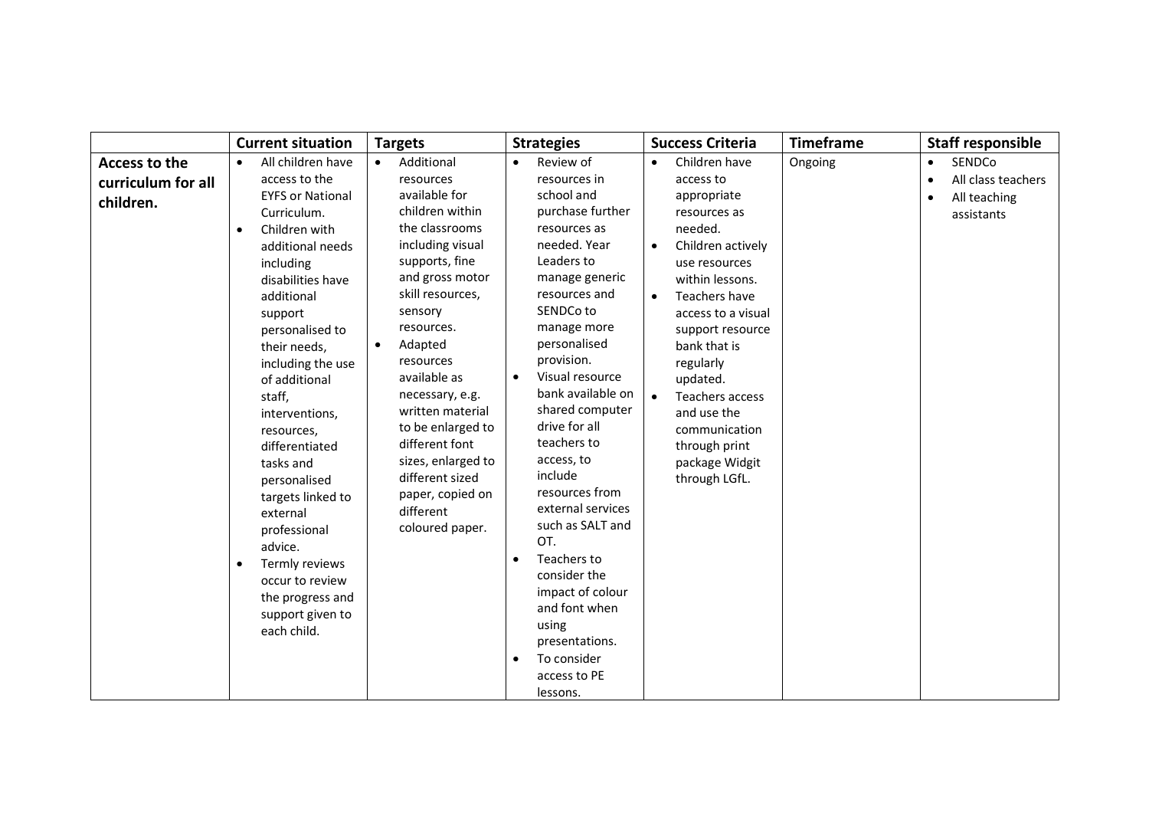|                                                  | <b>Current situation</b>                                                                                                                                                                                                                                                                                                                                                                                                                                                                                                         | <b>Targets</b>                                                                                                                                                                                                                                                                                                                                                                                                                   | <b>Strategies</b>                                                                                                                                                                                                                                                                                                                                                                                                                                                                                                                                                | <b>Success Criteria</b>                                                                                                                                                                                                                                                                                                                                            | <b>Timeframe</b> | <b>Staff responsible</b>                                                             |
|--------------------------------------------------|----------------------------------------------------------------------------------------------------------------------------------------------------------------------------------------------------------------------------------------------------------------------------------------------------------------------------------------------------------------------------------------------------------------------------------------------------------------------------------------------------------------------------------|----------------------------------------------------------------------------------------------------------------------------------------------------------------------------------------------------------------------------------------------------------------------------------------------------------------------------------------------------------------------------------------------------------------------------------|------------------------------------------------------------------------------------------------------------------------------------------------------------------------------------------------------------------------------------------------------------------------------------------------------------------------------------------------------------------------------------------------------------------------------------------------------------------------------------------------------------------------------------------------------------------|--------------------------------------------------------------------------------------------------------------------------------------------------------------------------------------------------------------------------------------------------------------------------------------------------------------------------------------------------------------------|------------------|--------------------------------------------------------------------------------------|
| Access to the<br>curriculum for all<br>children. | All children have<br>$\bullet$<br>access to the<br><b>EYFS or National</b><br>Curriculum.<br>Children with<br>$\bullet$<br>additional needs<br>including<br>disabilities have<br>additional<br>support<br>personalised to<br>their needs,<br>including the use<br>of additional<br>staff,<br>interventions,<br>resources,<br>differentiated<br>tasks and<br>personalised<br>targets linked to<br>external<br>professional<br>advice.<br>Termly reviews<br>occur to review<br>the progress and<br>support given to<br>each child. | Additional<br>$\bullet$<br>resources<br>available for<br>children within<br>the classrooms<br>including visual<br>supports, fine<br>and gross motor<br>skill resources,<br>sensory<br>resources.<br>Adapted<br>$\bullet$<br>resources<br>available as<br>necessary, e.g.<br>written material<br>to be enlarged to<br>different font<br>sizes, enlarged to<br>different sized<br>paper, copied on<br>different<br>coloured paper. | Review of<br>$\bullet$<br>resources in<br>school and<br>purchase further<br>resources as<br>needed. Year<br>Leaders to<br>manage generic<br>resources and<br>SENDCo to<br>manage more<br>personalised<br>provision.<br>Visual resource<br>bank available on<br>shared computer<br>drive for all<br>teachers to<br>access, to<br>include<br>resources from<br>external services<br>such as SALT and<br>OT.<br>Teachers to<br>$\bullet$<br>consider the<br>impact of colour<br>and font when<br>using<br>presentations.<br>To consider<br>access to PE<br>lessons. | Children have<br>$\bullet$<br>access to<br>appropriate<br>resources as<br>needed.<br>Children actively<br>$\bullet$<br>use resources<br>within lessons.<br>Teachers have<br>access to a visual<br>support resource<br>bank that is<br>regularly<br>updated.<br>Teachers access<br>and use the<br>communication<br>through print<br>package Widgit<br>through LGfL. | Ongoing          | SENDCo<br>$\bullet$<br>All class teachers<br>$\bullet$<br>All teaching<br>assistants |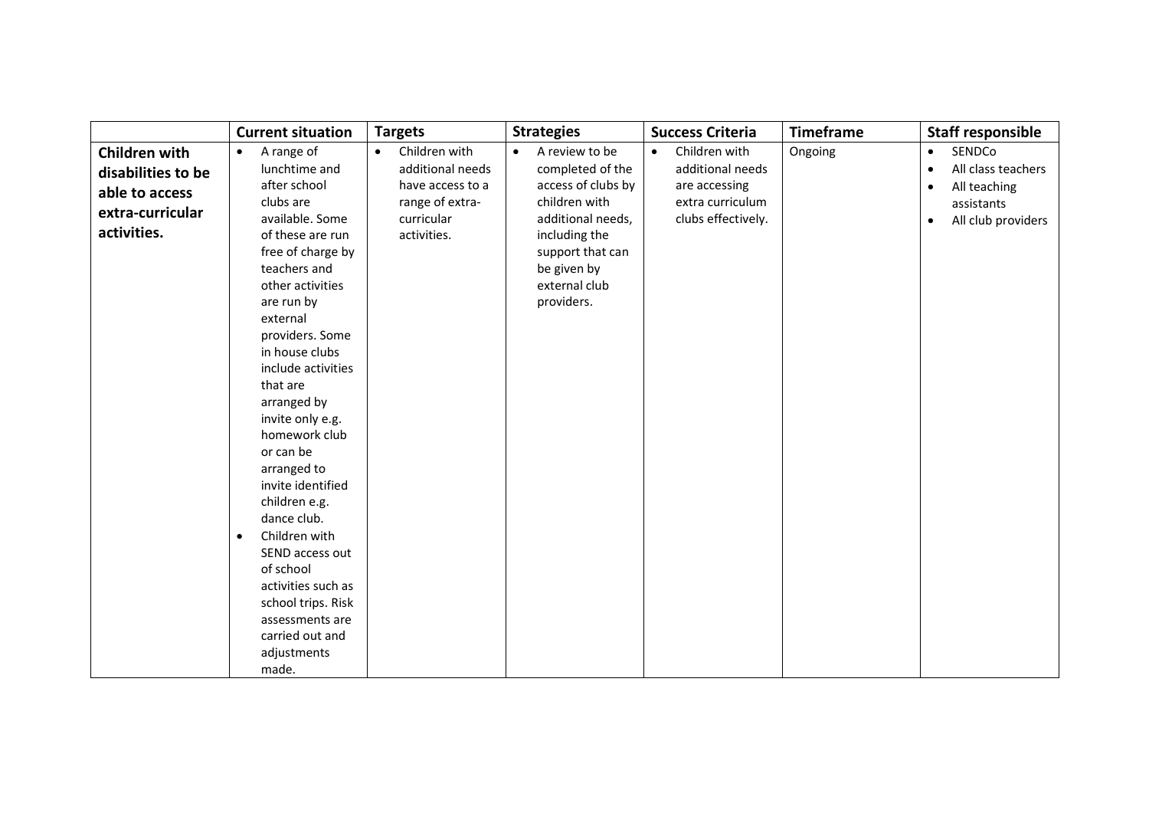|                                                                                                 | <b>Current situation</b>                                                                                                                                                                                                                                                                                                                                                                                                                                                                                                                                                            | <b>Targets</b>                                                                                                     | <b>Strategies</b>                                                                                                                                                                              | <b>Success Criteria</b>                                                                                   | <b>Timeframe</b> | <b>Staff responsible</b>                                                                                                             |
|-------------------------------------------------------------------------------------------------|-------------------------------------------------------------------------------------------------------------------------------------------------------------------------------------------------------------------------------------------------------------------------------------------------------------------------------------------------------------------------------------------------------------------------------------------------------------------------------------------------------------------------------------------------------------------------------------|--------------------------------------------------------------------------------------------------------------------|------------------------------------------------------------------------------------------------------------------------------------------------------------------------------------------------|-----------------------------------------------------------------------------------------------------------|------------------|--------------------------------------------------------------------------------------------------------------------------------------|
| <b>Children with</b><br>disabilities to be<br>able to access<br>extra-curricular<br>activities. | A range of<br>$\bullet$<br>lunchtime and<br>after school<br>clubs are<br>available. Some<br>of these are run<br>free of charge by<br>teachers and<br>other activities<br>are run by<br>external<br>providers. Some<br>in house clubs<br>include activities<br>that are<br>arranged by<br>invite only e.g.<br>homework club<br>or can be<br>arranged to<br>invite identified<br>children e.g.<br>dance club.<br>Children with<br>$\bullet$<br>SEND access out<br>of school<br>activities such as<br>school trips. Risk<br>assessments are<br>carried out and<br>adjustments<br>made. | Children with<br>$\bullet$<br>additional needs<br>have access to a<br>range of extra-<br>curricular<br>activities. | A review to be<br>$\bullet$<br>completed of the<br>access of clubs by<br>children with<br>additional needs,<br>including the<br>support that can<br>be given by<br>external club<br>providers. | Children with<br>$\bullet$<br>additional needs<br>are accessing<br>extra curriculum<br>clubs effectively. | Ongoing          | SENDCo<br>$\bullet$<br>All class teachers<br>$\bullet$<br>All teaching<br>$\bullet$<br>assistants<br>All club providers<br>$\bullet$ |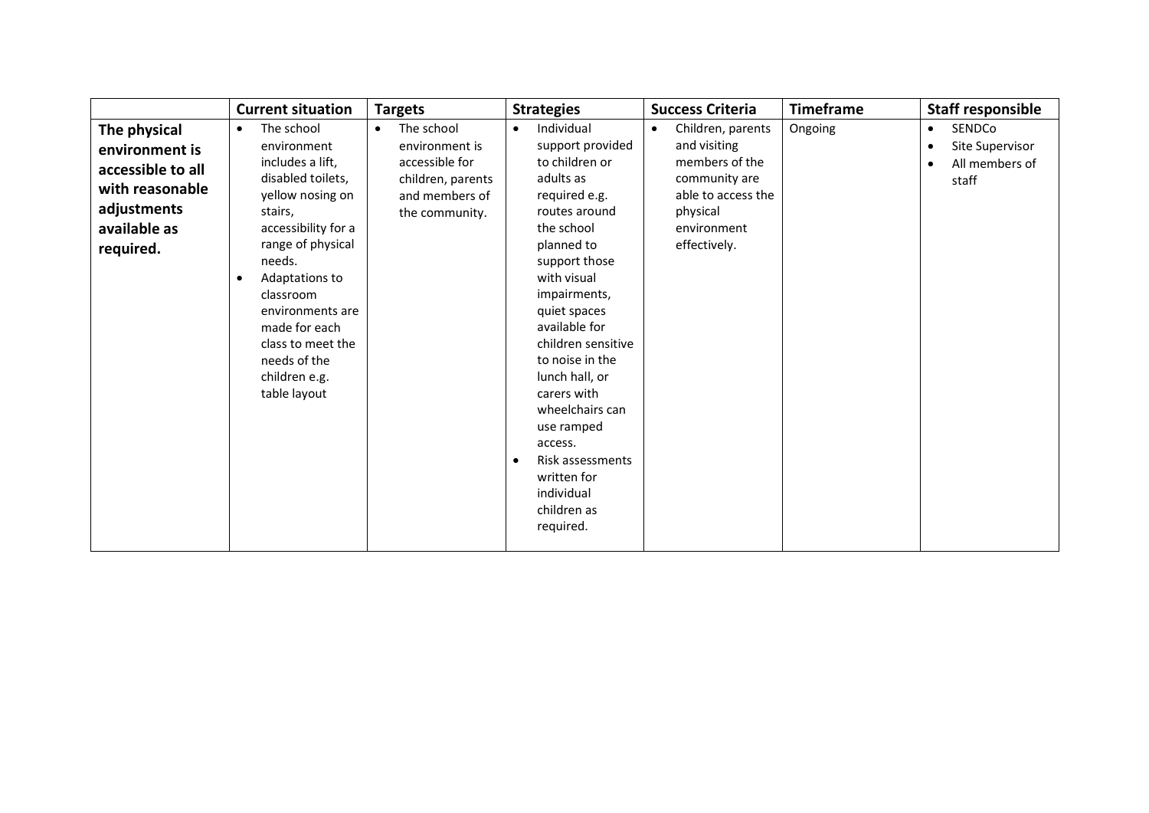|                   | <b>Current situation</b> | <b>Targets</b>          | <b>Strategies</b>       | <b>Success Criteria</b>        | <b>Timeframe</b> | <b>Staff responsible</b>     |
|-------------------|--------------------------|-------------------------|-------------------------|--------------------------------|------------------|------------------------------|
| The physical      | The school<br>$\bullet$  | The school<br>$\bullet$ | Individual<br>$\bullet$ | Children, parents<br>$\bullet$ | Ongoing          | SENDCo<br>$\bullet$          |
| environment is    | environment              | environment is          | support provided        | and visiting                   |                  | Site Supervisor<br>$\bullet$ |
| accessible to all | includes a lift,         | accessible for          | to children or          | members of the                 |                  | All members of               |
| with reasonable   | disabled toilets,        | children, parents       | adults as               | community are                  |                  | staff                        |
|                   | yellow nosing on         | and members of          | required e.g.           | able to access the             |                  |                              |
| adjustments       | stairs,                  | the community.          | routes around           | physical                       |                  |                              |
| available as      | accessibility for a      |                         | the school              | environment                    |                  |                              |
| required.         | range of physical        |                         | planned to              | effectively.                   |                  |                              |
|                   | needs.                   |                         | support those           |                                |                  |                              |
|                   | Adaptations to<br>O      |                         | with visual             |                                |                  |                              |
|                   | classroom                |                         | impairments,            |                                |                  |                              |
|                   | environments are         |                         | quiet spaces            |                                |                  |                              |
|                   | made for each            |                         | available for           |                                |                  |                              |
|                   | class to meet the        |                         | children sensitive      |                                |                  |                              |
|                   | needs of the             |                         | to noise in the         |                                |                  |                              |
|                   | children e.g.            |                         | lunch hall, or          |                                |                  |                              |
|                   | table layout             |                         | carers with             |                                |                  |                              |
|                   |                          |                         | wheelchairs can         |                                |                  |                              |
|                   |                          |                         | use ramped              |                                |                  |                              |
|                   |                          |                         | access.                 |                                |                  |                              |
|                   |                          |                         | Risk assessments        |                                |                  |                              |
|                   |                          |                         | written for             |                                |                  |                              |
|                   |                          |                         | individual              |                                |                  |                              |
|                   |                          |                         | children as             |                                |                  |                              |
|                   |                          |                         | required.               |                                |                  |                              |
|                   |                          |                         |                         |                                |                  |                              |